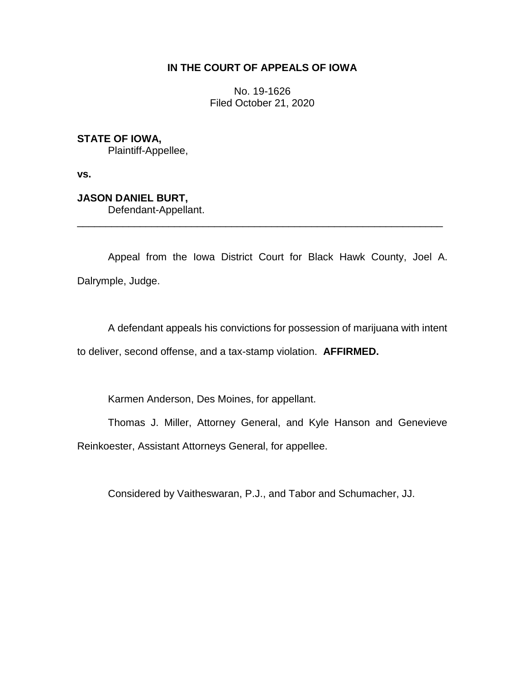## **IN THE COURT OF APPEALS OF IOWA**

No. 19-1626 Filed October 21, 2020

**STATE OF IOWA,**

Plaintiff-Appellee,

**vs.**

**JASON DANIEL BURT,** Defendant-Appellant.

Appeal from the Iowa District Court for Black Hawk County, Joel A. Dalrymple, Judge.

\_\_\_\_\_\_\_\_\_\_\_\_\_\_\_\_\_\_\_\_\_\_\_\_\_\_\_\_\_\_\_\_\_\_\_\_\_\_\_\_\_\_\_\_\_\_\_\_\_\_\_\_\_\_\_\_\_\_\_\_\_\_\_\_

A defendant appeals his convictions for possession of marijuana with intent to deliver, second offense, and a tax-stamp violation. **AFFIRMED.**

Karmen Anderson, Des Moines, for appellant.

Thomas J. Miller, Attorney General, and Kyle Hanson and Genevieve

Reinkoester, Assistant Attorneys General, for appellee.

Considered by Vaitheswaran, P.J., and Tabor and Schumacher, JJ.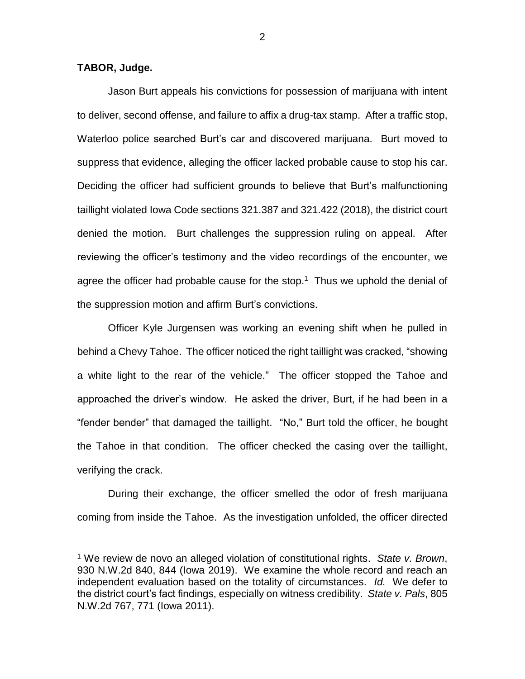**TABOR, Judge.**

 $\overline{a}$ 

Jason Burt appeals his convictions for possession of marijuana with intent to deliver, second offense, and failure to affix a drug-tax stamp. After a traffic stop, Waterloo police searched Burt's car and discovered marijuana. Burt moved to suppress that evidence, alleging the officer lacked probable cause to stop his car. Deciding the officer had sufficient grounds to believe that Burt's malfunctioning taillight violated Iowa Code sections 321.387 and 321.422 (2018), the district court denied the motion. Burt challenges the suppression ruling on appeal. After reviewing the officer's testimony and the video recordings of the encounter, we agree the officer had probable cause for the stop. $1$  Thus we uphold the denial of the suppression motion and affirm Burt's convictions.

Officer Kyle Jurgensen was working an evening shift when he pulled in behind a Chevy Tahoe. The officer noticed the right taillight was cracked, "showing a white light to the rear of the vehicle." The officer stopped the Tahoe and approached the driver's window. He asked the driver, Burt, if he had been in a "fender bender" that damaged the taillight. "No," Burt told the officer, he bought the Tahoe in that condition. The officer checked the casing over the taillight, verifying the crack.

During their exchange, the officer smelled the odor of fresh marijuana coming from inside the Tahoe. As the investigation unfolded, the officer directed

2

<sup>1</sup> We review de novo an alleged violation of constitutional rights. *State v. Brown*, 930 N.W.2d 840, 844 (Iowa 2019). We examine the whole record and reach an independent evaluation based on the totality of circumstances. *Id.* We defer to the district court's fact findings, especially on witness credibility. *State v. Pals*, 805 N.W.2d 767, 771 (Iowa 2011).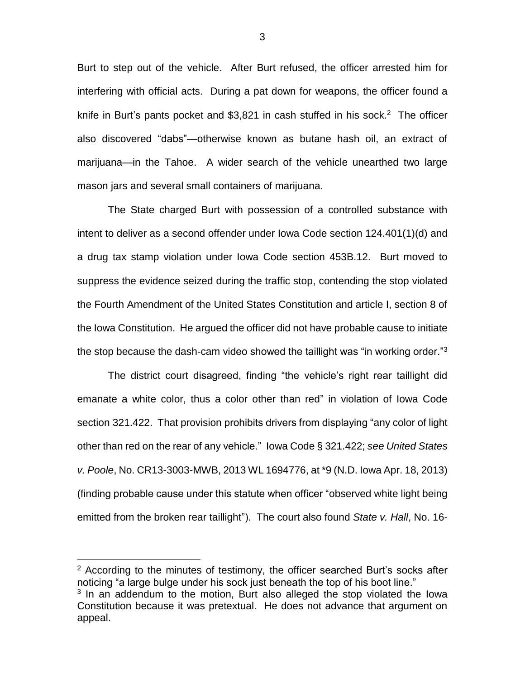Burt to step out of the vehicle. After Burt refused, the officer arrested him for interfering with official acts. During a pat down for weapons, the officer found a knife in Burt's pants pocket and  $$3,821$  in cash stuffed in his sock.<sup>2</sup> The officer also discovered "dabs"—otherwise known as butane hash oil, an extract of marijuana—in the Tahoe. A wider search of the vehicle unearthed two large mason jars and several small containers of marijuana.

The State charged Burt with possession of a controlled substance with intent to deliver as a second offender under Iowa Code section 124.401(1)(d) and a drug tax stamp violation under Iowa Code section 453B.12. Burt moved to suppress the evidence seized during the traffic stop, contending the stop violated the Fourth Amendment of the United States Constitution and article I, section 8 of the Iowa Constitution. He argued the officer did not have probable cause to initiate the stop because the dash-cam video showed the taillight was "in working order." $3$ 

The district court disagreed, finding "the vehicle's right rear taillight did emanate a white color, thus a color other than red" in violation of Iowa Code section 321.422. That provision prohibits drivers from displaying "any color of light other than red on the rear of any vehicle." Iowa Code § 321.422; *see United States v. Poole*, No. CR13-3003-MWB, 2013 WL 1694776, at \*9 (N.D. Iowa Apr. 18, 2013) (finding probable cause under this statute when officer "observed white light being emitted from the broken rear taillight"). The court also found *State v. Hall*, No. 16-

 $\overline{a}$ 

<sup>&</sup>lt;sup>2</sup> According to the minutes of testimony, the officer searched Burt's socks after noticing "a large bulge under his sock just beneath the top of his boot line."

 $3$  In an addendum to the motion, Burt also alleged the stop violated the lowa Constitution because it was pretextual. He does not advance that argument on appeal.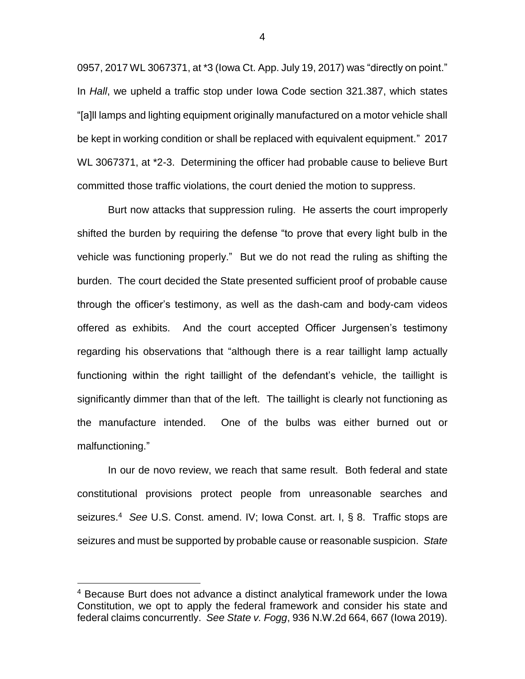0957, 2017 WL 3067371, at \*3 (Iowa Ct. App. July 19, 2017) was "directly on point." In *Hall*, we upheld a traffic stop under Iowa Code section 321.387, which states "[a]ll lamps and lighting equipment originally manufactured on a motor vehicle shall be kept in working condition or shall be replaced with equivalent equipment." 2017 WL 3067371, at \*2-3. Determining the officer had probable cause to believe Burt committed those traffic violations, the court denied the motion to suppress.

Burt now attacks that suppression ruling. He asserts the court improperly shifted the burden by requiring the defense "to prove that every light bulb in the vehicle was functioning properly." But we do not read the ruling as shifting the burden. The court decided the State presented sufficient proof of probable cause through the officer's testimony, as well as the dash-cam and body-cam videos offered as exhibits. And the court accepted Officer Jurgensen's testimony regarding his observations that "although there is a rear taillight lamp actually functioning within the right taillight of the defendant's vehicle, the taillight is significantly dimmer than that of the left. The taillight is clearly not functioning as the manufacture intended. One of the bulbs was either burned out or malfunctioning."

In our de novo review, we reach that same result. Both federal and state constitutional provisions protect people from unreasonable searches and seizures. 4 *See* U.S. Const. amend. IV; Iowa Const. art. I, § 8. Traffic stops are seizures and must be supported by probable cause or reasonable suspicion. *State* 

 $\overline{a}$ 

4

<sup>4</sup> Because Burt does not advance a distinct analytical framework under the Iowa Constitution, we opt to apply the federal framework and consider his state and federal claims concurrently. *See State v. Fogg*, 936 N.W.2d 664, 667 (Iowa 2019).